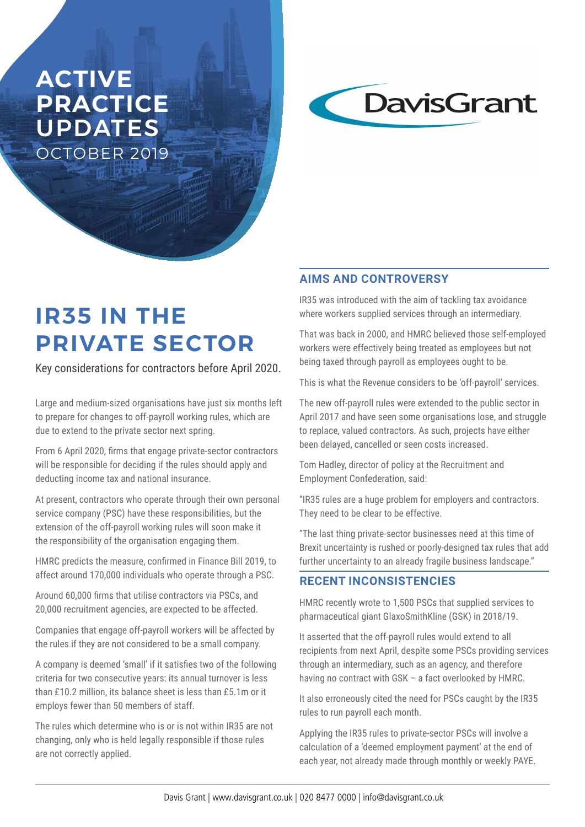# **ACTIVE PRACTICE**  UPDATES OCTOBER 2019



# **IR35 IN THE PRIVATE SECTOR**

Key considerations for contractors before April 2020.

Large and medium-sized organisations have just six months left to prepare for changes to off-payroll working rules, which are due to extend to the private sector next spring.

From 6 April 2020, firms that engage private-sector contractors will be responsible for deciding if the rules should apply and deducting income tax and national insurance.

At present, contractors who operate through their own personal service company (PSC) have these responsibilities, but the extension of the off-payroll working rules will soon make it the responsibility of the organisation engaging them.

HMRC predicts the measure, confirmed in Finance Bill 2019, to affect around 170,000 individuals who operate through a PSC.

Around 60,000 firms that utilise contractors via PSCs, and 20,000 recruitment agencies, are expected to be affected.

Companies that engage off-payroll workers will be affected by the rules if they are not considered to be a small company.

A company is deemed 'small' if it satisfies two of the following criteria for two consecutive years: its annual turnover is less than £10.2 million, its balance sheet is less than £5.1m or it employs fewer than 50 members of staff.

The rules which determine who is or is not within IR35 are not changing, only who is held legally responsible if those rules are not correctly applied.

# **AIMS AND CONTROVERSY**

IR35 was introduced with the aim of tackling tax avoidance where workers supplied services through an intermediary.

That was back in 2000, and HMRC believed those self-employed workers were effectively being treated as employees but not being taxed through payroll as employees ought to be.

This is what the Revenue considers to be 'off-payroll' services.

The new off-payroll rules were extended to the public sector in April 2017 and have seen some organisations lose, and struggle to replace, valued contractors. As such, projects have either been delayed, cancelled or seen costs increased.

Tom Hadley, director of policy at the Recruitment and Employment Confederation, said:

"IR35 rules are a huge problem for employers and contractors. They need to be clear to be effective.

"The last thing private-sector businesses need at this time of Brexit uncertainty is rushed or poorly-designed tax rules that add further uncertainty to an already fragile business landscape."

## **RECENT INCONSISTENCIES**

HMRC recently wrote to 1,500 PSCs that supplied services to pharmaceutical giant GlaxoSmithKline (GSK) in 2018/19.

It asserted that the off-payroll rules would extend to all recipients from next April, despite some PSCs providing services through an intermediary, such as an agency, and therefore having no contract with GSK – a fact overlooked by HMRC.

It also erroneously cited the need for PSCs caught by the IR35 rules to run payroll each month.

Applying the IR35 rules to private-sector PSCs will involve a calculation of a 'deemed employment payment' at the end of each year, not already made through monthly or weekly PAYE.